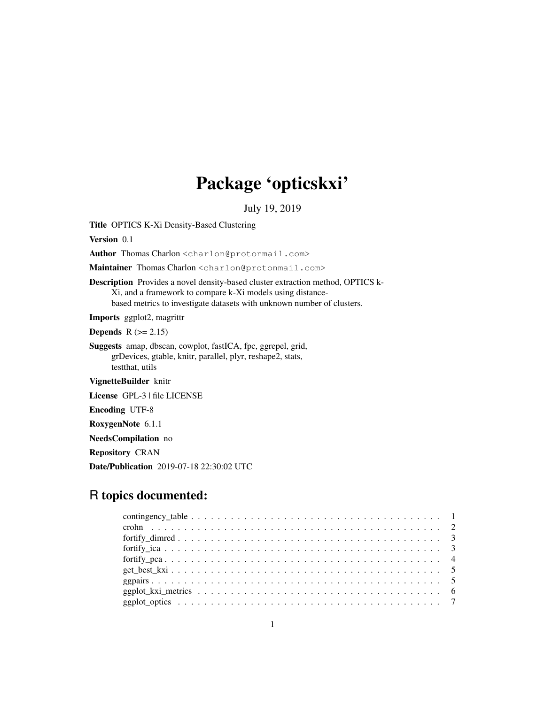# Package 'opticskxi'

July 19, 2019

Title OPTICS K-Xi Density-Based Clustering

Version 0.1

Author Thomas Charlon <charlon@protonmail.com>

Maintainer Thomas Charlon <charlon@protonmail.com>

Description Provides a novel density-based cluster extraction method, OPTICS k-Xi, and a framework to compare k-Xi models using distancebased metrics to investigate datasets with unknown number of clusters.

Imports ggplot2, magrittr

Depends  $R (= 2.15)$ 

Suggests amap, dbscan, cowplot, fastICA, fpc, ggrepel, grid, grDevices, gtable, knitr, parallel, plyr, reshape2, stats, testthat, utils

VignetteBuilder knitr

License GPL-3 | file LICENSE

Encoding UTF-8

RoxygenNote 6.1.1

NeedsCompilation no

Repository CRAN

Date/Publication 2019-07-18 22:30:02 UTC

# R topics documented: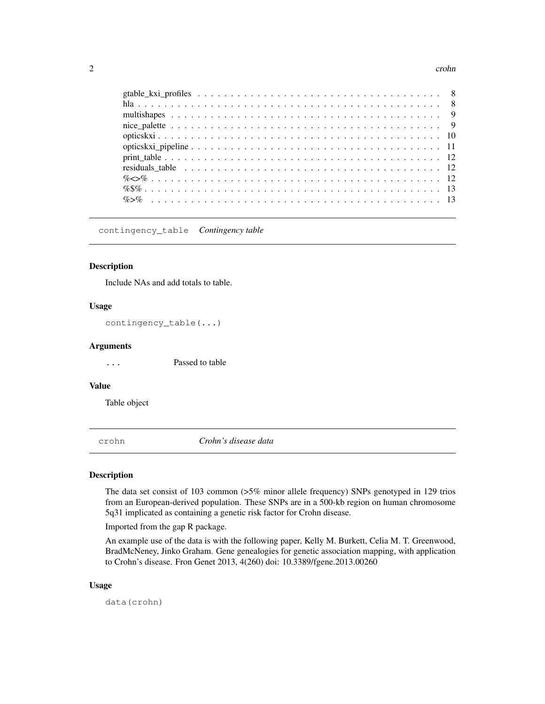#### 2 crohn contract to the contract of the contract of the contract of the contract of the contract of the contract of the contract of the contract of the contract of the contract of the contract of the contract of the contra

contingency\_table *Contingency table*

#### Description

Include NAs and add totals to table.

#### Usage

contingency\_table(...)

#### Arguments

... Passed to table

#### Value

Table object

crohn *Crohn's disease data*

#### Description

The data set consist of 103 common (>5% minor allele frequency) SNPs genotyped in 129 trios from an European-derived population. These SNPs are in a 500-kb region on human chromosome 5q31 implicated as containing a genetic risk factor for Crohn disease.

Imported from the gap R package.

An example use of the data is with the following paper, Kelly M. Burkett, Celia M. T. Greenwood, BradMcNeney, Jinko Graham. Gene genealogies for genetic association mapping, with application to Crohn's disease. Fron Genet 2013, 4(260) doi: 10.3389/fgene.2013.00260

#### Usage

data(crohn)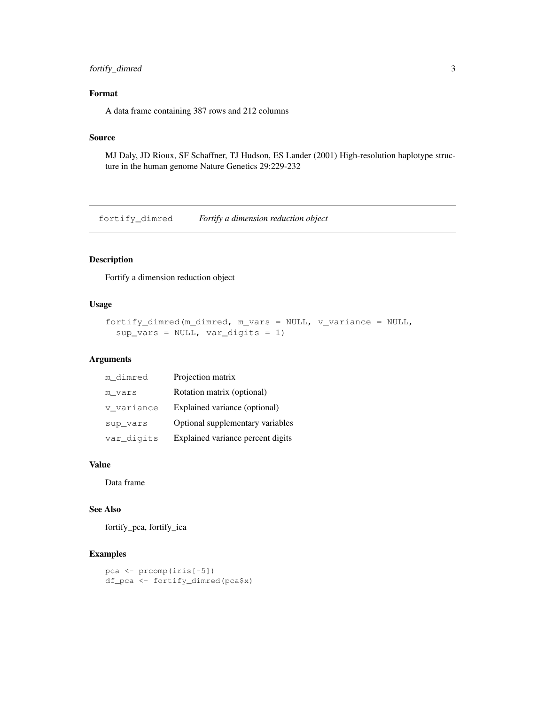# fortify\_dimred 3

# Format

A data frame containing 387 rows and 212 columns

#### Source

MJ Daly, JD Rioux, SF Schaffner, TJ Hudson, ES Lander (2001) High-resolution haplotype structure in the human genome Nature Genetics 29:229-232

fortify\_dimred *Fortify a dimension reduction object*

# Description

Fortify a dimension reduction object

# Usage

```
fortify_dimred(m_dimred, m_vars = NULL, v_variance = NULL,
  sup\_vars = NULL, var\_digits = 1)
```
#### Arguments

| m dimred   | Projection matrix                 |
|------------|-----------------------------------|
| m vars     | Rotation matrix (optional)        |
| v variance | Explained variance (optional)     |
| sup_vars   | Optional supplementary variables  |
| var digits | Explained variance percent digits |

#### Value

Data frame

#### See Also

fortify\_pca, fortify\_ica

#### Examples

```
pca <- prcomp(iris[-5])
df_pca <- fortify_dimred(pca$x)
```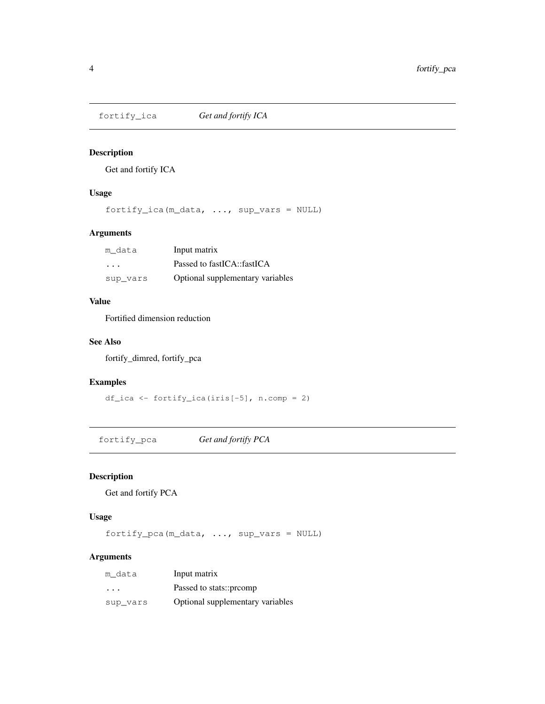Get and fortify ICA

# Usage

fortify\_ica(m\_data, ..., sup\_vars = NULL)

# Arguments

| m data   | Input matrix                     |
|----------|----------------------------------|
| $\cdot$  | Passed to fastICA::fastICA       |
| sup vars | Optional supplementary variables |

## Value

Fortified dimension reduction

#### See Also

fortify\_dimred, fortify\_pca

# Examples

df\_ica <- fortify\_ica(iris[-5], n.comp = 2)

fortify\_pca *Get and fortify PCA*

# Description

Get and fortify PCA

# Usage

fortify\_pca(m\_data, ..., sup\_vars = NULL)

# Arguments

| m data   | Input matrix                     |
|----------|----------------------------------|
| $\cdot$  | Passed to stats::prcomp          |
| sup vars | Optional supplementary variables |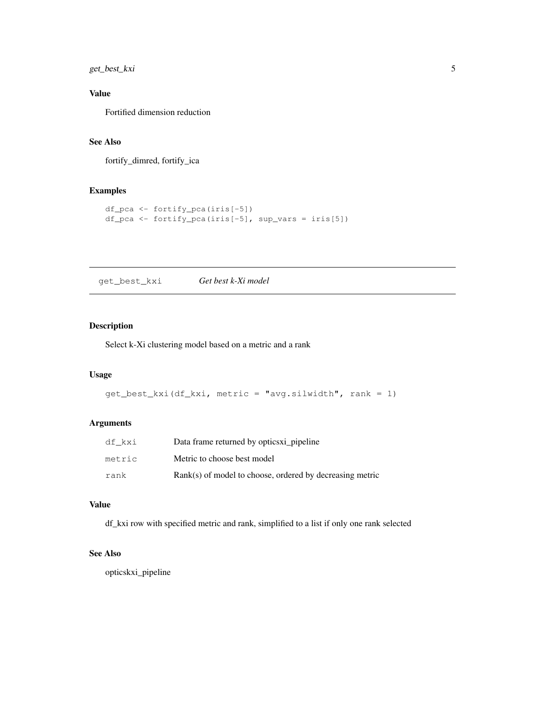get\_best\_kxi 5

# Value

Fortified dimension reduction

# See Also

fortify\_dimred, fortify\_ica

# Examples

```
df_pca <- fortify_pca(iris[-5])
df_pca <- fortify_pca(iris[-5], sup_vars = iris[5])
```
get\_best\_kxi *Get best k-Xi model*

# Description

Select k-Xi clustering model based on a metric and a rank

# Usage

```
get\_best\_kxi(df_kxi, metric = "avg.silwidth", rank = 1)
```
# Arguments

| df kxi | Data frame returned by optics xi pipeline                  |
|--------|------------------------------------------------------------|
| metric | Metric to choose best model                                |
| rank   | $Rank(s)$ of model to choose, ordered by decreasing metric |

#### Value

df\_kxi row with specified metric and rank, simplified to a list if only one rank selected

# See Also

opticskxi\_pipeline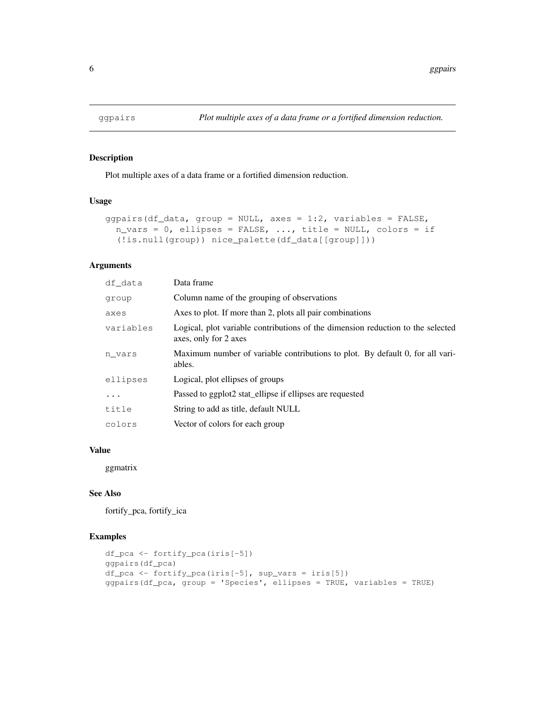Plot multiple axes of a data frame or a fortified dimension reduction.

# Usage

```
ggpairs(df_data, group = NULL, axes = 1:2, variables = FALSE,
  n\_vars = 0, ellipses = FALSE, ..., title = NULL, colors = if
  (!is.null(group)) nice_palette(df_data[[group]]))
```
# Arguments

| df data   | Data frame                                                                                               |
|-----------|----------------------------------------------------------------------------------------------------------|
| group     | Column name of the grouping of observations                                                              |
| axes      | Axes to plot. If more than 2, plots all pair combinations                                                |
| variables | Logical, plot variable contributions of the dimension reduction to the selected<br>axes, only for 2 axes |
| n vars    | Maximum number of variable contributions to plot. By default 0, for all vari-<br>ables.                  |
| ellipses  | Logical, plot ellipses of groups                                                                         |
| .         | Passed to ggplot2 stat_ellipse if ellipses are requested                                                 |
| title     | String to add as title, default NULL                                                                     |
| colors    | Vector of colors for each group                                                                          |

#### Value

ggmatrix

# See Also

fortify\_pca, fortify\_ica

#### Examples

```
df_pca <- fortify_pca(iris[-5])
ggpairs(df_pca)
df_pca <- fortify_pca(iris[-5], sup_vars = iris[5])
ggpairs(df_pca, group = 'Species', ellipses = TRUE, variables = TRUE)
```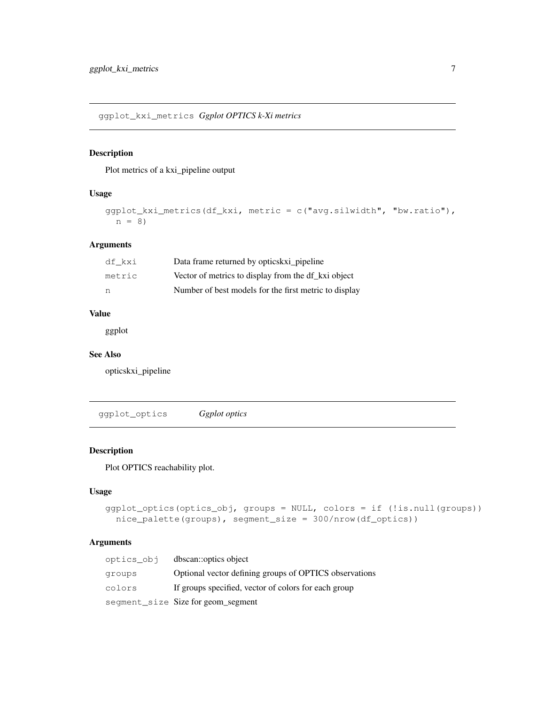ggplot\_kxi\_metrics *Ggplot OPTICS k-Xi metrics*

# Description

Plot metrics of a kxi\_pipeline output

# Usage

```
ggplot_kxi_metrics(df_kxi, metric = c("avg.silwidth", "bw.ratio"),
 n = 8)
```
#### Arguments

| df kxi | Data frame returned by optics kxi pipeline            |
|--------|-------------------------------------------------------|
| metric | Vector of metrics to display from the df_kxi object   |
| n      | Number of best models for the first metric to display |

# Value

ggplot

#### See Also

opticskxi\_pipeline

ggplot\_optics *Ggplot optics*

# Description

Plot OPTICS reachability plot.

#### Usage

```
ggplot_optics(optics_obj, groups = NULL, colors = if (!is.null(groups))
  nice_palette(groups), segment_size = 300/nrow(df_optics))
```
# Arguments

| optics obj | dbscan::optics object                                  |
|------------|--------------------------------------------------------|
| groups     | Optional vector defining groups of OPTICS observations |
| colors     | If groups specified, vector of colors for each group   |
|            | segment_size Size for geom_segment                     |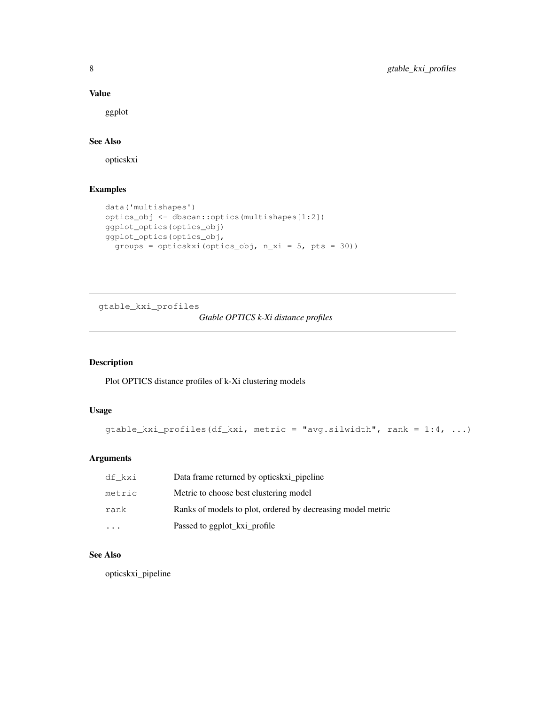# Value

ggplot

# See Also

opticskxi

# Examples

```
data('multishapes')
optics_obj <- dbscan::optics(multishapes[1:2])
ggplot_optics(optics_obj)
ggplot_optics(optics_obj,
  groups = opticskxi(optics_obj, n_xi = 5, pts = 30))
```
gtable\_kxi\_profiles

# *Gtable OPTICS k-Xi distance profiles*

# Description

Plot OPTICS distance profiles of k-Xi clustering models

# Usage

```
gtable_kxi_profiles(df_kxi, metric = "avg.silwidth", rank = 1:4, ...)
```
# Arguments

| df kxi                  | Data frame returned by optics kxi _ pipeline                |
|-------------------------|-------------------------------------------------------------|
| metric                  | Metric to choose best clustering model                      |
| rank                    | Ranks of models to plot, ordered by decreasing model metric |
| $\cdot$ $\cdot$ $\cdot$ | Passed to ggplot kxi profile                                |

# See Also

opticskxi\_pipeline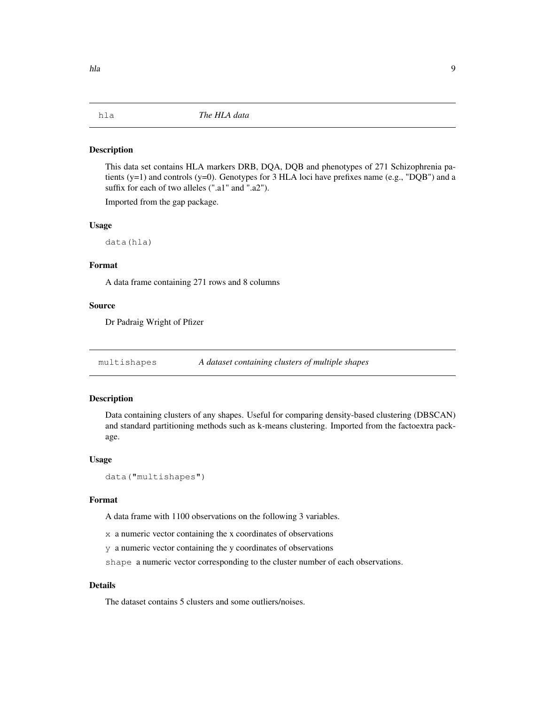This data set contains HLA markers DRB, DQA, DQB and phenotypes of 271 Schizophrenia patients (y=1) and controls (y=0). Genotypes for 3 HLA loci have prefixes name (e.g., "DQB") and a suffix for each of two alleles (".a1" and ".a2").

Imported from the gap package.

#### Usage

data(hla)

#### Format

A data frame containing 271 rows and 8 columns

#### Source

Dr Padraig Wright of Pfizer

multishapes *A dataset containing clusters of multiple shapes*

#### Description

Data containing clusters of any shapes. Useful for comparing density-based clustering (DBSCAN) and standard partitioning methods such as k-means clustering. Imported from the factoextra package.

#### Usage

```
data("multishapes")
```
#### Format

A data frame with 1100 observations on the following 3 variables.

x a numeric vector containing the x coordinates of observations

y a numeric vector containing the y coordinates of observations

shape a numeric vector corresponding to the cluster number of each observations.

# Details

The dataset contains 5 clusters and some outliers/noises.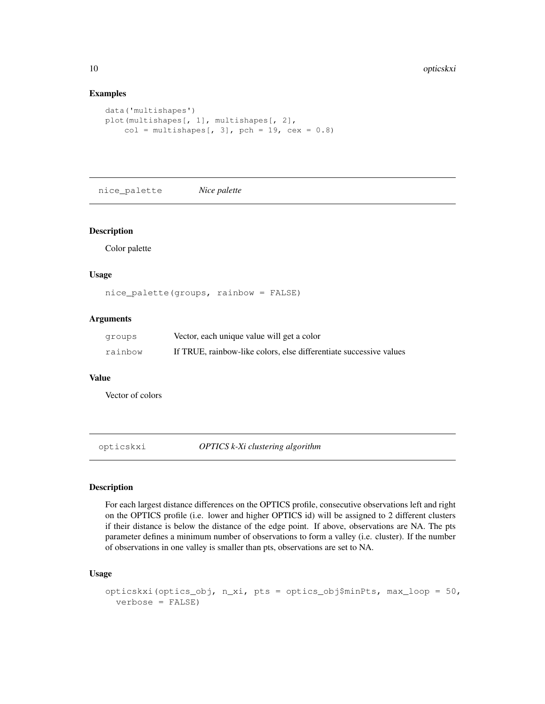#### Examples

```
data('multishapes')
plot(multishapes[, 1], multishapes[, 2],
    col = multishapes[, 3], pch = 19, cex = 0.8)
```
nice\_palette *Nice palette*

# Description

Color palette

#### Usage

nice\_palette(groups, rainbow = FALSE)

#### Arguments

| groups  | Vector, each unique value will get a color                         |
|---------|--------------------------------------------------------------------|
| rainbow | If TRUE, rainbow-like colors, else differentiate successive values |

#### Value

Vector of colors

opticskxi *OPTICS k-Xi clustering algorithm*

#### Description

For each largest distance differences on the OPTICS profile, consecutive observations left and right on the OPTICS profile (i.e. lower and higher OPTICS id) will be assigned to 2 different clusters if their distance is below the distance of the edge point. If above, observations are NA. The pts parameter defines a minimum number of observations to form a valley (i.e. cluster). If the number of observations in one valley is smaller than pts, observations are set to NA.

#### Usage

```
opticskxi(optics_obj, n_xi, pts = optics_obj$minPts, max_loop = 50,
  verbose = FALSE)
```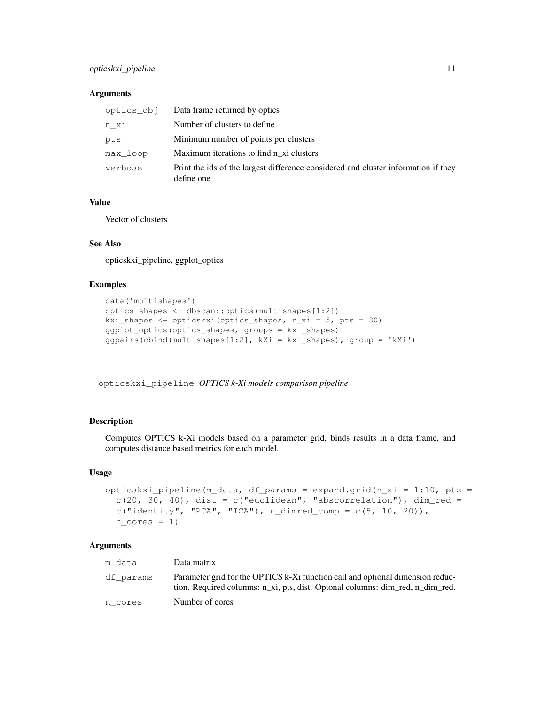# opticskxi\_pipeline 11

#### **Arguments**

|          | optics_obj Data frame returned by optics                                                         |
|----------|--------------------------------------------------------------------------------------------------|
| n xi     | Number of clusters to define.                                                                    |
| pts      | Minimum number of points per clusters                                                            |
| max loop | Maximum iterations to find n xi clusters                                                         |
| verbose  | Print the ids of the largest difference considered and cluster information if they<br>define one |

#### Value

Vector of clusters

# See Also

opticskxi\_pipeline, ggplot\_optics

# Examples

```
data('multishapes')
optics_shapes <- dbscan::optics(multishapes[1:2])
kxi_shapes <- opticskxi(optics_shapes, n_xi = 5, pts = 30)
ggplot_optics(optics_shapes, groups = kxi_shapes)
qqpairs(cbind(multishapes[1:2], kXi = kxi_shapes), qroup = 'kXi')
```
opticskxi\_pipeline *OPTICS k-Xi models comparison pipeline*

# Description

Computes OPTICS k-Xi models based on a parameter grid, binds results in a data frame, and computes distance based metrics for each model.

#### Usage

```
opticskxi_pipeline(m_data, df_params = expand.grid(n_xi = 1:10, pts =
  c(20, 30, 40), dist = c("euclidean", "abscorrelation"), dim\_red =c("identity", "PCA", "ICA"), n_dimred\_comp = c(5, 10, 20)),n\_cores = 1)
```
#### Arguments

| m data    | Data matrix                                                                                                                                                     |
|-----------|-----------------------------------------------------------------------------------------------------------------------------------------------------------------|
| df params | Parameter grid for the OPTICS k-Xi function call and optional dimension reduc-<br>tion. Required columns: n_xi, pts, dist. Optonal columns: dim_red, n_dim_red. |
| n cores   | Number of cores                                                                                                                                                 |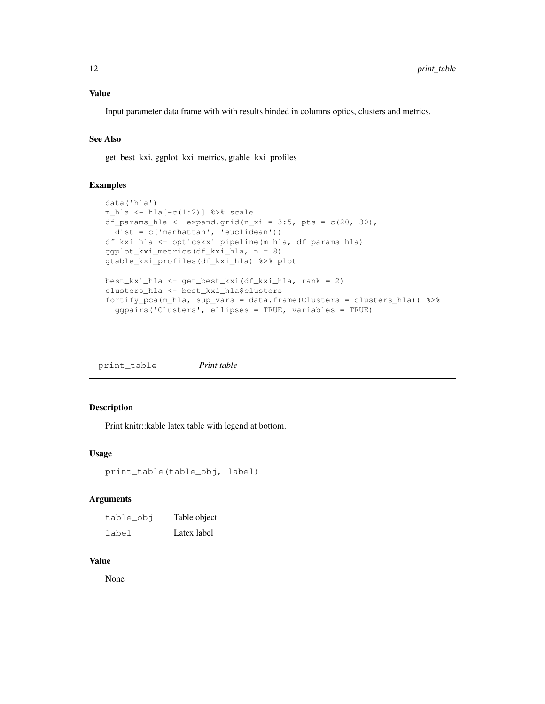Input parameter data frame with with results binded in columns optics, clusters and metrics.

# See Also

get\_best\_kxi, ggplot\_kxi\_metrics, gtable\_kxi\_profiles

#### Examples

```
data('hla')
m_hla <- hla[-c(1:2)] %>% scale
df_params_hla <- expand.grid(n_xi = 3:5, pts = c(20, 30),
 dist = c('manhattan', 'euclidean'))
df_kxi_hla <- opticskxi_pipeline(m_hla, df_params_hla)
ggplot_kxi_metrics(df_kxi_hla, n = 8)
gtable_kxi_profiles(df_kxi_hla) %>% plot
best_kxi_hla <- get_best_kxi(df_kxi_hla, rank = 2)
clusters_hla <- best_kxi_hla$clusters
fortify_pca(m_hla, sup_vars = data.frame(Clusters = clusters_hla)) %>%
  ggpairs('Clusters', ellipses = TRUE, variables = TRUE)
```
print\_table *Print table*

#### Description

Print knitr::kable latex table with legend at bottom.

#### Usage

```
print_table(table_obj, label)
```
#### Arguments

| table_obj | Table object |
|-----------|--------------|
| label     | Latex label  |

#### Value

None